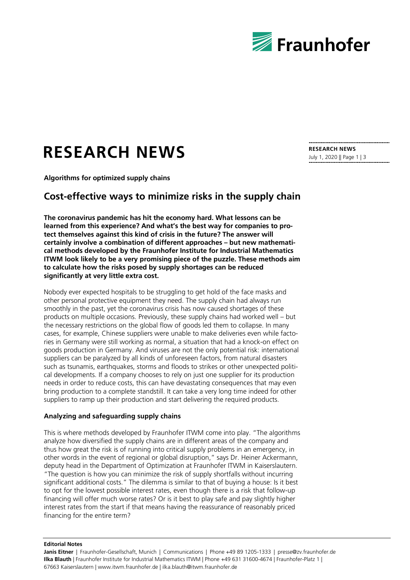

# **RESEARCH NEWS**

**Algorithms for optimized supply chains**

## **Cost-effective ways to minimize risks in the supply chain**

**The coronavirus pandemic has hit the economy hard. What lessons can be learned from this experience? And what's the best way for companies to protect themselves against this kind of crisis in the future? The answer will certainly involve a combination of different approaches – but new mathematical methods developed by the Fraunhofer Institute for Industrial Mathematics ITWM look likely to be a very promising piece of the puzzle. These methods aim to calculate how the risks posed by supply shortages can be reduced significantly at very little extra cost.**

Nobody ever expected hospitals to be struggling to get hold of the face masks and other personal protective equipment they need. The supply chain had always run smoothly in the past, yet the coronavirus crisis has now caused shortages of these products on multiple occasions. Previously, these supply chains had worked well – but the necessary restrictions on the global flow of goods led them to collapse. In many cases, for example, Chinese suppliers were unable to make deliveries even while factories in Germany were still working as normal, a situation that had a knock-on effect on goods production in Germany. And viruses are not the only potential risk: international suppliers can be paralyzed by all kinds of unforeseen factors, from natural disasters such as tsunamis, earthquakes, storms and floods to strikes or other unexpected political developments. If a company chooses to rely on just one supplier for its production needs in order to reduce costs, this can have devastating consequences that may even bring production to a complete standstill. It can take a very long time indeed for other suppliers to ramp up their production and start delivering the required products.

#### **Analyzing and safeguarding supply chains**

This is where methods developed by Fraunhofer ITWM come into play. "The algorithms analyze how diversified the supply chains are in different areas of the company and thus how great the risk is of running into critical supply problems in an emergency, in other words in the event of regional or global disruption," says Dr. Heiner Ackermann, deputy head in the Department of Optimization at Fraunhofer ITWM in Kaiserslautern. "The question is how you can minimize the risk of supply shortfalls without incurring significant additional costs." The dilemma is similar to that of buying a house: Is it best to opt for the lowest possible interest rates, even though there is a risk that follow-up financing will offer much worse rates? Or is it best to play safe and pay slightly higher interest rates from the start if that means having the reassurance of reasonably priced financing for the entire term?

**RESEARCH NEWS** July 1, 2020 || Page 1 | 3

**Editorial Notes**

Janis Eitner | Fraunhofer-Gesellschaft, Munich | Communications | Phone +49 89 1205-1333 | presse@zv.fraunhofer.de **Ilka Blauth** | Fraunhofer Institute for Industrial Mathematics ITWM | Phone +49 631 31600-4674 | Fraunhofer-Platz 1 | 67663 Kaiserslautern | www.itwm.fraunhofer.de | ilka.blauth@itwm.fraunhofer.de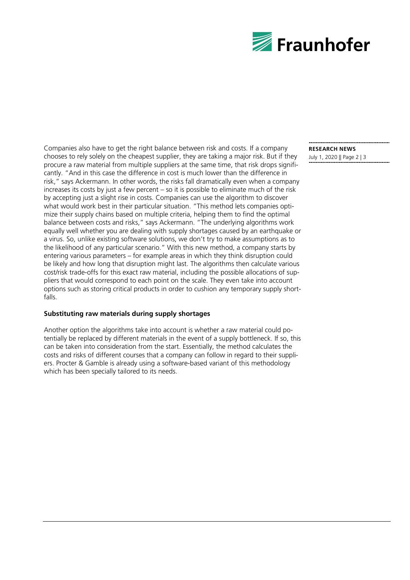

Companies also have to get the right balance between risk and costs. If a company chooses to rely solely on the cheapest supplier, they are taking a major risk. But if they procure a raw material from multiple suppliers at the same time, that risk drops significantly. "And in this case the difference in cost is much lower than the difference in risk," says Ackermann. In other words, the risks fall dramatically even when a company increases its costs by just a few percent – so it is possible to eliminate much of the risk by accepting just a slight rise in costs. Companies can use the algorithm to discover what would work best in their particular situation. "This method lets companies optimize their supply chains based on multiple criteria, helping them to find the optimal balance between costs and risks," says Ackermann. "The underlying algorithms work equally well whether you are dealing with supply shortages caused by an earthquake or a virus. So, unlike existing software solutions, we don't try to make assumptions as to the likelihood of any particular scenario." With this new method, a company starts by entering various parameters – for example areas in which they think disruption could be likely and how long that disruption might last. The algorithms then calculate various cost/risk trade-offs for this exact raw material, including the possible allocations of suppliers that would correspond to each point on the scale. They even take into account options such as storing critical products in order to cushion any temporary supply shortfalls.

#### **Substituting raw materials during supply shortages**

Another option the algorithms take into account is whether a raw material could potentially be replaced by different materials in the event of a supply bottleneck. If so, this can be taken into consideration from the start. Essentially, the method calculates the costs and risks of different courses that a company can follow in regard to their suppliers. Procter & Gamble is already using a software-based variant of this methodology which has been specially tailored to its needs.

# **RESEARCH NEWS**

July 1, 2020 || Page 2 | 3